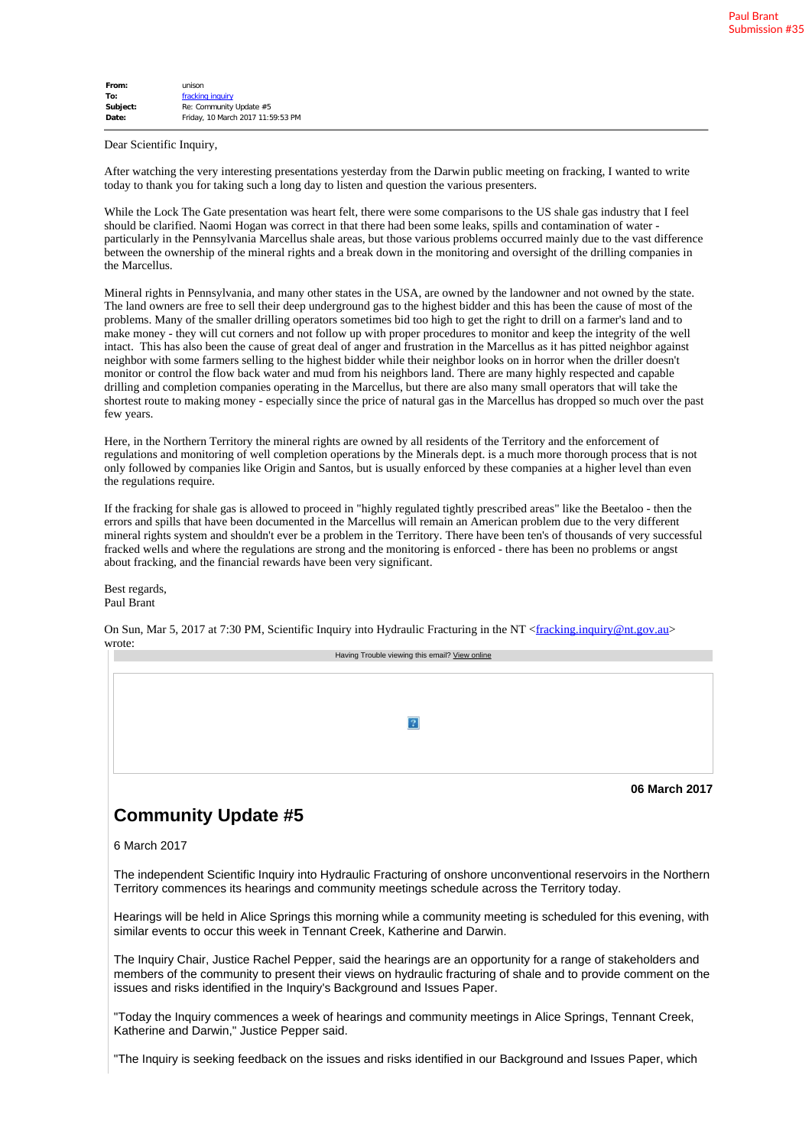| From:    | unison                            |
|----------|-----------------------------------|
| To:      | fracking inquiry                  |
| Subject: | Re: Community Update #5           |
| Date:    | Friday, 10 March 2017 11:59:53 PM |
|          |                                   |

Dear Scientific Inquiry,

After watching the very interesting presentations yesterday from the Darwin public meeting on fracking, I wanted to write today to thank you for taking such a long day to listen and question the various presenters.

While the Lock The Gate presentation was heart felt, there were some comparisons to the US shale gas industry that I feel should be clarified. Naomi Hogan was correct in that there had been some leaks, spills and contamination of water particularly in the Pennsylvania Marcellus shale areas, but those various problems occurred mainly due to the vast difference between the ownership of the mineral rights and a break down in the monitoring and oversight of the drilling companies in the Marcellus.

Mineral rights in Pennsylvania, and many other states in the USA, are owned by the landowner and not owned by the state. The land owners are free to sell their deep underground gas to the highest bidder and this has been the cause of most of the problems. Many of the smaller drilling operators sometimes bid too high to get the right to drill on a farmer's land and to make money - they will cut corners and not follow up with proper procedures to monitor and keep the integrity of the well intact. This has also been the cause of great deal of anger and frustration in the Marcellus as it has pitted neighbor against neighbor with some farmers selling to the highest bidder while their neighbor looks on in horror when the driller doesn't monitor or control the flow back water and mud from his neighbors land. There are many highly respected and capable drilling and completion companies operating in the Marcellus, but there are also many small operators that will take the shortest route to making money - especially since the price of natural gas in the Marcellus has dropped so much over the past few years.

Here, in the Northern Territory the mineral rights are owned by all residents of the Territory and the enforcement of regulations and monitoring of well completion operations by the Minerals dept. is a much more thorough process that is not only followed by companies like Origin and Santos, but is usually enforced by these companies at a higher level than even the regulations require.

If the fracking for shale gas is allowed to proceed in "highly regulated tightly prescribed areas" like the Beetaloo - then the errors and spills that have been documented in the Marcellus will remain an American problem due to the very different mineral rights system and shouldn't ever be a problem in the Territory. There have been ten's of thousands of very successful fracked wells and where the regulations are strong and the monitoring is enforced - there has been no problems or angst about fracking, and the financial rewards have been very significant.

Best regards, Paul Brant

On Sun, Mar 5, 2017 at 7:30 PM, Scientific Inquiry into Hydraulic Fracturing in the NT <fracking.inquiry@nt.gov.au> wrote:

| Having Trouble viewing this email? View online |
|------------------------------------------------|
|                                                |
|                                                |
|                                                |
|                                                |
|                                                |
|                                                |
|                                                |
|                                                |
|                                                |
|                                                |
|                                                |
| 06 March 2017                                  |

## **Community Update #5**

6 March 2017

The independent Scientific Inquiry into Hydraulic Fracturing of onshore unconventional reservoirs in the Northern Territory commences its hearings and community meetings schedule across the Territory today.

Hearings will be held in Alice Springs this morning while a community meeting is scheduled for this evening, with similar events to occur this week in Tennant Creek, Katherine and Darwin.

The Inquiry Chair, Justice Rachel Pepper, said the hearings are an opportunity for a range of stakeholders and members of the community to present their views on hydraulic fracturing of shale and to provide comment on the issues and risks identified in the Inquiry's Background and Issues Paper.

"Today the Inquiry commences a week of hearings and community meetings in Alice Springs, Tennant Creek, Katherine and Darwin," Justice Pepper said.

"The Inquiry is seeking feedback on the issues and risks identified in our Background and Issues Paper, which